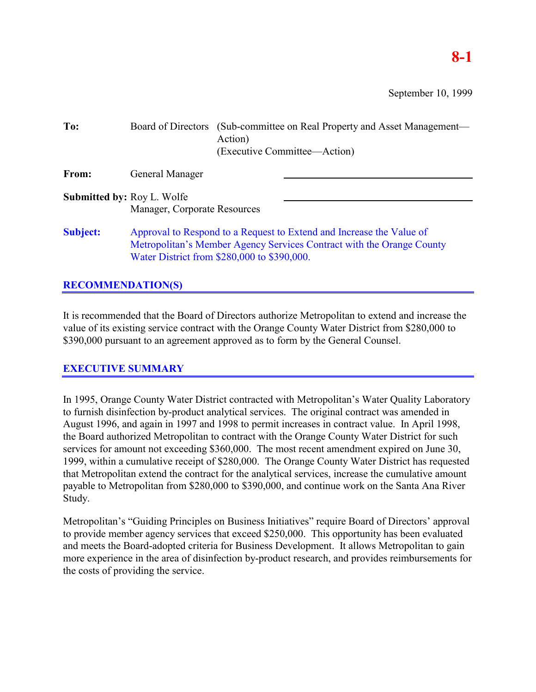## **8-1**

September 10, 1999

| To:                               | Board of Directors                                                                                                                                                                           | (Sub-committee on Real Property and Asset Management—<br>Action)<br>(Executive Committee—Action) |  |
|-----------------------------------|----------------------------------------------------------------------------------------------------------------------------------------------------------------------------------------------|--------------------------------------------------------------------------------------------------|--|
| From:                             | General Manager                                                                                                                                                                              |                                                                                                  |  |
| <b>Submitted by: Roy L. Wolfe</b> | Manager, Corporate Resources                                                                                                                                                                 |                                                                                                  |  |
| <b>Subject:</b>                   | Approval to Respond to a Request to Extend and Increase the Value of<br>Metropolitan's Member Agency Services Contract with the Orange County<br>Water District from \$280,000 to \$390,000. |                                                                                                  |  |

## **RECOMMENDATION(S)**

It is recommended that the Board of Directors authorize Metropolitan to extend and increase the value of its existing service contract with the Orange County Water District from \$280,000 to \$390,000 pursuant to an agreement approved as to form by the General Counsel.

## **EXECUTIVE SUMMARY**

In 1995, Orange County Water District contracted with Metropolitan's Water Quality Laboratory to furnish disinfection by-product analytical services. The original contract was amended in August 1996, and again in 1997 and 1998 to permit increases in contract value. In April 1998, the Board authorized Metropolitan to contract with the Orange County Water District for such services for amount not exceeding \$360,000. The most recent amendment expired on June 30, 1999, within a cumulative receipt of \$280,000. The Orange County Water District has requested that Metropolitan extend the contract for the analytical services, increase the cumulative amount payable to Metropolitan from \$280,000 to \$390,000, and continue work on the Santa Ana River Study.

Metropolitan's "Guiding Principles on Business Initiatives" require Board of Directors' approval to provide member agency services that exceed \$250,000. This opportunity has been evaluated and meets the Board-adopted criteria for Business Development. It allows Metropolitan to gain more experience in the area of disinfection by-product research, and provides reimbursements for the costs of providing the service.